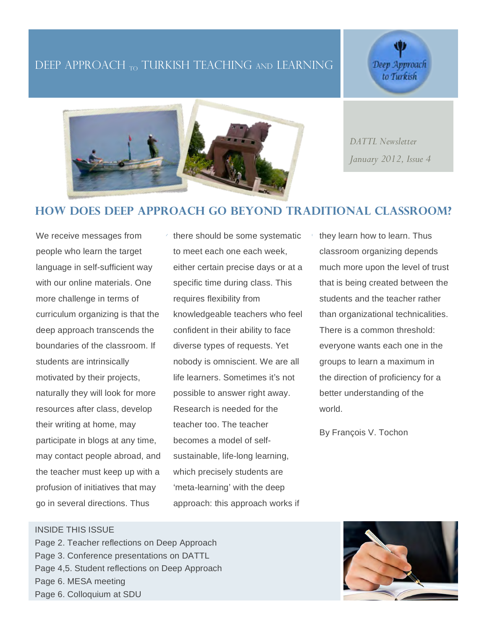# DEEP APPROACH <sub>TO</sub> TURKISH TEACHING AND LEARNING

Deep Approach to Turkish



*DATTL Newsletter January 2012, Issue 4*

## **How does deep approach go beyond traditional classroom?**

We receive messages from people who learn the target language in self-sufficient way with our online materials. One more challenge in terms of curriculum organizing is that the deep approach transcends the boundaries of the classroom. If students are intrinsically motivated by their projects, naturally they will look for more resources after class, develop their writing at home, may participate in blogs at any time, may contact people abroad, and the teacher must keep up with a profusion of initiatives that may go in several directions. Thus

there should be some systematic to meet each one each week, either certain precise days or at a specific time during class. This requires flexibility from knowledgeable teachers who feel confident in their ability to face diverse types of requests. Yet nobody is omniscient. We are all life learners. Sometimes it's not possible to answer right away. Research is needed for the teacher too. The teacher becomes a model of selfsustainable, life-long learning, which precisely students are ʻmeta-learning' with the deep approach: this approach works if

they learn how to learn. Thus classroom organizing depends much more upon the level of trust that is being created between the students and the teacher rather than organizational technicalities. There is a common threshold: everyone wants each one in the groups to learn a maximum in the direction of proficiency for a better understanding of the world.

By François V. Tochon

#### INSIDE THIS ISSUE

Page 2. Teacher reflections on Deep Approach Page 3. Conference presentations on DATTL Page 4,5. Student reflections on Deep Approach Page 6. MESA meeting Page 6. Colloquium at SDU

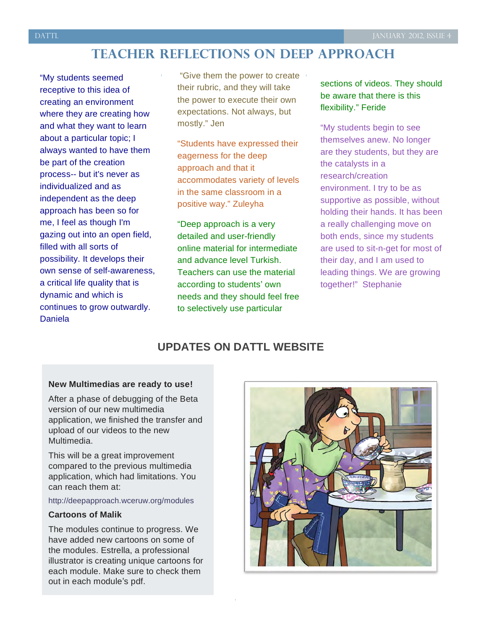# **Teacher reflections on deep approach**

"My students seemed receptive to this idea of creating an environment where they are creating how and what they want to learn about a particular topic; I always wanted to have them be part of the creation process-- but it's never as individualized and as independent as the deep approach has been so for me, I feel as though I'm gazing out into an open field, filled with all sorts of possibility. It develops their own sense of self-awareness, a critical life quality that is dynamic and which is continues to grow outwardly. Daniela

"Give them the power to create their rubric, and they will take the power to execute their own expectations. Not always, but mostly." Jen

"Students have expressed their eagerness for the deep approach and that it accommodates variety of levels in the same classroom in a positive way." Zuleyha

"Deep approach is a very detailed and user-friendly online material for intermediate and advance level Turkish. Teachers can use the material according to students' own needs and they should feel free to selectively use particular

sections of videos. They should be aware that there is this flexibility." Feride

"My students begin to see themselves anew. No longer are they students, but they are the catalysts in a research/creation environment. I try to be as supportive as possible, without holding their hands. It has been a really challenging move on both ends, since my students are used to sit-n-get for most of their day, and I am used to leading things. We are growing together!" Stephanie

## **UPDATES ON DATTL WEBSITE**

#### **New Multimedias are ready to use!**

After a phase of debugging of the Beta version of our new multimedia application, we finished the transfer and upload of our videos to the new Multimedia.

This will be a great improvement compared to the previous multimedia application, which had limitations. You can reach them at:

#### http://deepapproach.wceruw.org/modules

#### **Cartoons of Malik**

The modules continue to progress. We have added new cartoons on some of the modules. Estrella, a professional illustrator is creating unique cartoons for each module. Make sure to check them out in each module's pdf.



<u>:</u>

2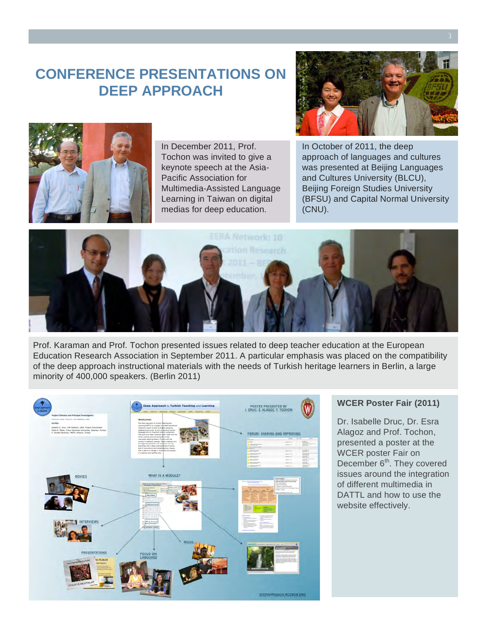# **CONFERENCE PRESENTATIONS ON DEEP APPROACH**



In December 2011, Prof. Tochon was invited to give a keynote speech at the Asia-Pacific Association for Multimedia-Assisted Language Learning in Taiwan on digital medias for deep education.



In October of 2011, the deep approach of languages and cultures was presented at Beijing Languages and Cultures University (BLCU), Beijing Foreign Studies University (BFSU) and Capital Normal University (CNU).



Prof. Karaman and Prof. Tochon presented issues related to deep teacher education at the European Education Research Association in September 2011. A particular emphasis was placed on the compatibility of the deep approach instructional materials with the needs of Turkish heritage learners in Berlin, a large minority of 400,000 speakers. (Berlin 2011)



#### **WCER Poster Fair (2011)**

Dr. Isabelle Druc, Dr. Esra Alagoz and Prof. Tochon, presented a poster at the WCER poster Fair on December 6<sup>th</sup>. They covered issues around the integration of different multimedia in DATTL and how to use the website effectively.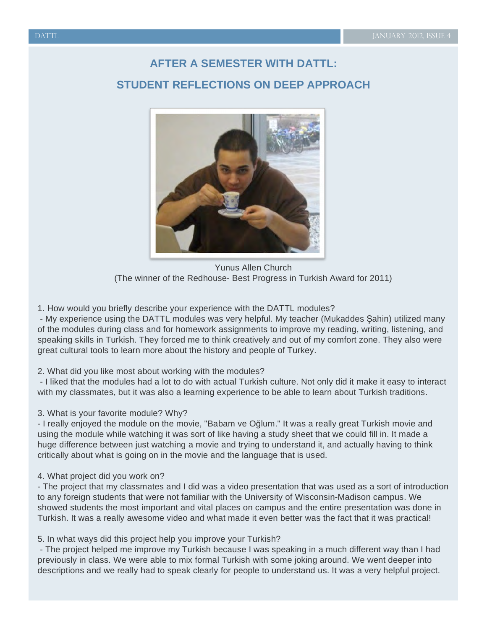# **AFTER A SEMESTER WITH DATTL: STUDENT REFLECTIONS ON DEEP APPROACH**



Yunus Allen Church (The winner of the Redhouse- Best Progress in Turkish Award for 2011)

1. How would you briefly describe your experience with the DATTL modules?

- My experience using the DATTL modules was very helpful. My teacher (Mukaddes Şahin) utilized many of the modules during class and for homework assignments to improve my reading, writing, listening, and speaking skills in Turkish. They forced me to think creatively and out of my comfort zone. They also were great cultural tools to learn more about the history and people of Turkey.

## 2. What did you like most about working with the modules?

- I liked that the modules had a lot to do with actual Turkish culture. Not only did it make it easy to interact with my classmates, but it was also a learning experience to be able to learn about Turkish traditions.

#### 3. What is your favorite module? Why?

- I really enjoyed the module on the movie, "Babam ve Oğlum." It was a really great Turkish movie and using the module while watching it was sort of like having a study sheet that we could fill in. It made a huge difference between just watching a movie and trying to understand it, and actually having to think critically about what is going on in the movie and the language that is used.

## 4. What project did you work on?

- The project that my classmates and I did was a video presentation that was used as a sort of introduction to any foreign students that were not familiar with the University of Wisconsin-Madison campus. We showed students the most important and vital places on campus and the entire presentation was done in Turkish. It was a really awesome video and what made it even better was the fact that it was practical!

## 5. In what ways did this project help you improve your Turkish?

- The project helped me improve my Turkish because I was speaking in a much different way than I had previously in class. We were able to mix formal Turkish with some joking around. We went deeper into descriptions and we really had to speak clearly for people to understand us. It was a very helpful project.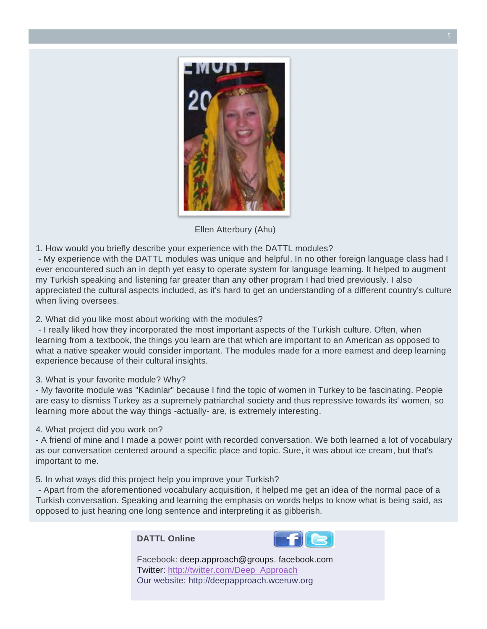

Ellen Atterbury (Ahu)

1. How would you briefly describe your experience with the DATTL modules?

- My experience with the DATTL modules was unique and helpful. In no other foreign language class had I ever encountered such an in depth yet easy to operate system for language learning. It helped to augment my Turkish speaking and listening far greater than any other program I had tried previously. I also appreciated the cultural aspects included, as it's hard to get an understanding of a different country's culture when living oversees.

2. What did you like most about working with the modules?

- I really liked how they incorporated the most important aspects of the Turkish culture. Often, when learning from a textbook, the things you learn are that which are important to an American as opposed to what a native speaker would consider important. The modules made for a more earnest and deep learning experience because of their cultural insights.

3. What is your favorite module? Why?

- My favorite module was "Kadınlar" because I find the topic of women in Turkey to be fascinating. People are easy to dismiss Turkey as a supremely patriarchal society and thus repressive towards its' women, so learning more about the way things -actually- are, is extremely interesting.

4. What project did you work on?

- A friend of mine and I made a power point with recorded conversation. We both learned a lot of vocabulary as our conversation centered around a specific place and topic. Sure, it was about ice cream, but that's important to me.

5. In what ways did this project help you improve your Turkish?

- Apart from the aforementioned vocabulary acquisition, it helped me get an idea of the normal pace of a Turkish conversation. Speaking and learning the emphasis on words helps to know what is being said, as opposed to just hearing one long sentence and interpreting it as gibberish.

**DATTL Online**



Facebook: deep.approach@groups. facebook.com Twitter: http://twitter.com/Deep\_Approach Our website: http://deepapproach.wceruw.org